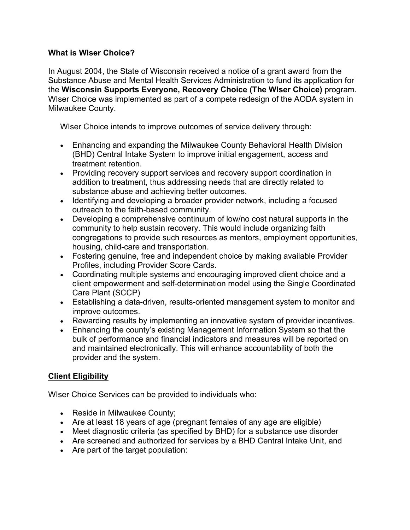## **What is WIser Choice?**

In August 2004, the State of Wisconsin received a notice of a grant award from the Substance Abuse and Mental Health Services Administration to fund its application for the **Wisconsin Supports Everyone, Recovery Choice (The WIser Choice)** program. WIser Choice was implemented as part of a compete redesign of the AODA system in Milwaukee County.

WIser Choice intends to improve outcomes of service delivery through:

- Enhancing and expanding the Milwaukee County Behavioral Health Division (BHD) Central Intake System to improve initial engagement, access and treatment retention.
- Providing recovery support services and recovery support coordination in addition to treatment, thus addressing needs that are directly related to substance abuse and achieving better outcomes.
- Identifying and developing a broader provider network, including a focused outreach to the faith-based community.
- Developing a comprehensive continuum of low/no cost natural supports in the community to help sustain recovery. This would include organizing faith congregations to provide such resources as mentors, employment opportunities, housing, child-care and transportation.
- Fostering genuine, free and independent choice by making available Provider Profiles, including Provider Score Cards.
- Coordinating multiple systems and encouraging improved client choice and a client empowerment and self-determination model using the Single Coordinated Care Plant (SCCP)
- Establishing a data-driven, results-oriented management system to monitor and improve outcomes.
- Rewarding results by implementing an innovative system of provider incentives.
- Enhancing the county's existing Management Information System so that the bulk of performance and financial indicators and measures will be reported on and maintained electronically. This will enhance accountability of both the provider and the system.

## **Client Eligibility**

WIser Choice Services can be provided to individuals who:

- Reside in Milwaukee County;
- Are at least 18 years of age (pregnant females of any age are eligible)
- Meet diagnostic criteria (as specified by BHD) for a substance use disorder
- Are screened and authorized for services by a BHD Central Intake Unit, and
- Are part of the target population: